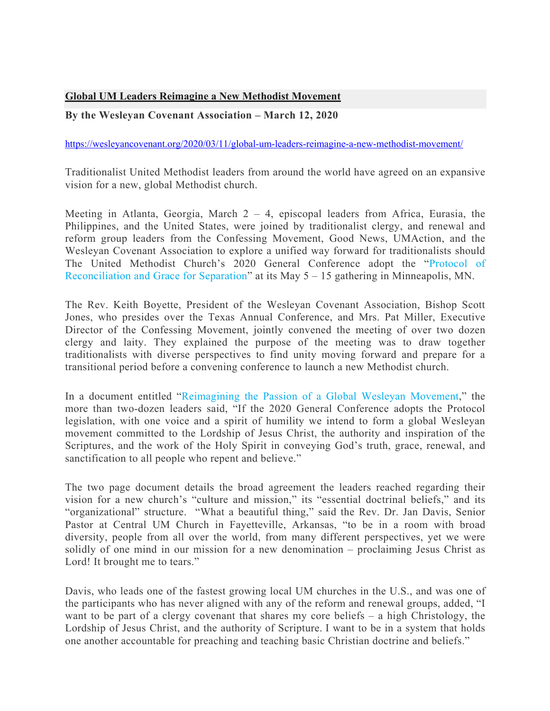## **Global UM Leaders Reimagine a New Methodist Movement**

## **By the Wesleyan Covenant Association – March 12, 2020**

## https://wesleyancovenant.org/2020/03/11/global-um-leaders-reimagine-a-new-methodist-movement/

Traditionalist United Methodist leaders from around the world have agreed on an expansive vision for a new, global Methodist church.

Meeting in Atlanta, Georgia, March 2 – 4, episcopal leaders from Africa, Eurasia, the Philippines, and the United States, were joined by traditionalist clergy, and renewal and reform group leaders from the Confessing Movement, Good News, UMAction, and the Wesleyan Covenant Association to explore a unified way forward for traditionalists should The United Methodist Church's 2020 General Conference adopt the "Protocol of Reconciliation and Grace for Separation" at its May 5 – 15 gathering in Minneapolis, MN.

The Rev. Keith Boyette, President of the Wesleyan Covenant Association, Bishop Scott Jones, who presides over the Texas Annual Conference, and Mrs. Pat Miller, Executive Director of the Confessing Movement, jointly convened the meeting of over two dozen clergy and laity. They explained the purpose of the meeting was to draw together traditionalists with diverse perspectives to find unity moving forward and prepare for a transitional period before a convening conference to launch a new Methodist church.

In a document entitled "Reimagining the Passion of a Global Wesleyan Movement," the more than two-dozen leaders said, "If the 2020 General Conference adopts the Protocol legislation, with one voice and a spirit of humility we intend to form a global Wesleyan movement committed to the Lordship of Jesus Christ, the authority and inspiration of the Scriptures, and the work of the Holy Spirit in conveying God's truth, grace, renewal, and sanctification to all people who repent and believe."

The two page document details the broad agreement the leaders reached regarding their vision for a new church's "culture and mission," its "essential doctrinal beliefs," and its "organizational" structure. "What a beautiful thing," said the Rev. Dr. Jan Davis, Senior Pastor at Central UM Church in Fayetteville, Arkansas, "to be in a room with broad diversity, people from all over the world, from many different perspectives, yet we were solidly of one mind in our mission for a new denomination – proclaiming Jesus Christ as Lord! It brought me to tears."

Davis, who leads one of the fastest growing local UM churches in the U.S., and was one of the participants who has never aligned with any of the reform and renewal groups, added, "I want to be part of a clergy covenant that shares my core beliefs – a high Christology, the Lordship of Jesus Christ, and the authority of Scripture. I want to be in a system that holds one another accountable for preaching and teaching basic Christian doctrine and beliefs."